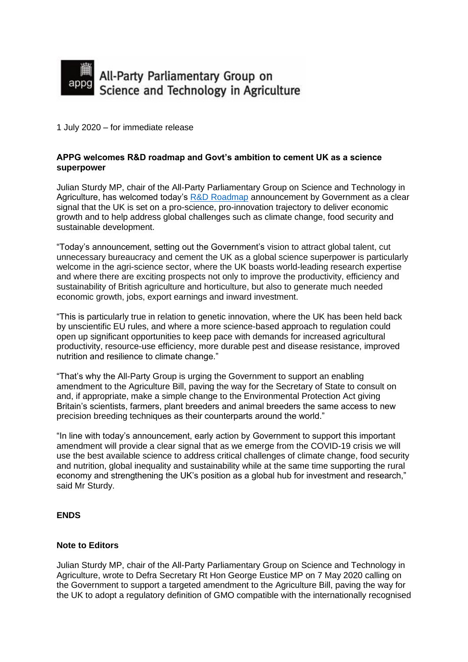

1 July 2020 – for immediate release

## **APPG welcomes R&D roadmap and Govt's ambition to cement UK as a science superpower**

Julian Sturdy MP, chair of the All-Party Parliamentary Group on Science and Technology in Agriculture, has welcomed today's [R&D Roadmap](https://www.gov.uk/government/news/government-fires-up-rd-across-the-country-to-cement-the-uk-as-science-superpower) announcement by Government as a clear signal that the UK is set on a pro-science, pro-innovation trajectory to deliver economic growth and to help address global challenges such as climate change, food security and sustainable development.

"Today's announcement, setting out the Government's vision to attract global talent, cut unnecessary bureaucracy and cement the UK as a global science superpower is particularly welcome in the agri-science sector, where the UK boasts world-leading research expertise and where there are exciting prospects not only to improve the productivity, efficiency and sustainability of British agriculture and horticulture, but also to generate much needed economic growth, jobs, export earnings and inward investment.

"This is particularly true in relation to genetic innovation, where the UK has been held back by unscientific EU rules, and where a more science-based approach to regulation could open up significant opportunities to keep pace with demands for increased agricultural productivity, resource-use efficiency, more durable pest and disease resistance, improved nutrition and resilience to climate change."

"That's why the All-Party Group is urging the Government to support an enabling amendment to the Agriculture Bill, paving the way for the Secretary of State to consult on and, if appropriate, make a simple change to the Environmental Protection Act giving Britain's scientists, farmers, plant breeders and animal breeders the same access to new precision breeding techniques as their counterparts around the world."

"In line with today's announcement, early action by Government to support this important amendment will provide a clear signal that as we emerge from the COVID-19 crisis we will use the best available science to address critical challenges of climate change, food security and nutrition, global inequality and sustainability while at the same time supporting the rural economy and strengthening the UK's position as a global hub for investment and research," said Mr Sturdy.

## **ENDS**

## **Note to Editors**

Julian Sturdy MP, chair of the All-Party Parliamentary Group on Science and Technology in Agriculture, wrote to Defra Secretary Rt Hon George Eustice MP on 7 May 2020 calling on the Government to support a targeted amendment to the Agriculture Bill, paving the way for the UK to adopt a regulatory definition of GMO compatible with the internationally recognised